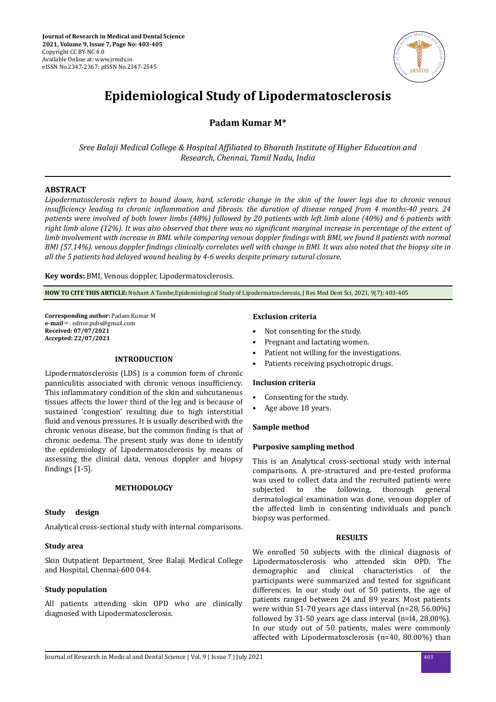

# **Epidemiological Study of Lipodermatosclerosis**

## **Padam Kumar M\***

*Sree Balaji Medical College & Hospital fϔlated to Bharath Institute of Higher Education and Research, Chennai, Tamil Nadu, India*

## **ABSTRACT**

*Lipodermatosclerosis refers to bound down, hard, sclerotic change in the skin of the lower legs due to chronic venous insufficiency leading to chronic inflammation and fibrosis. the duration of disease ranged from 4 months-40 years. 24 patients were involved of both lower limbs (48%) followed by 20 patients with left limb alone (40%) and 6 patients with right limb alone (12%). It was also observed that there was no significant marginal increase in percentage of the extent of limb involvement with increase in BMI. while comparing venous doppler findings with BMI, we found 8 patients with normal BMI (57.14%). venous doppler ϔndngs clinically correlates well with change in BMI. It was also noted that the biopsy site in all the 5 patients had delayed wound healing by 4-6 weeks despite primary sutural closure.*

**Key words:** BMI, Venous doppler, Lipodermatosclerosis.

**HOW TO CITE THIS ARTICLE:** Nishant A Tambe,Epidemiological Study of Lipodermatosclerosis, J Res Med Dent Sci, 2021, 9(7): 403-405

**Corresponding author:** Padam Kumar M **e-mail**✉: editor.pubs@gmail.com **Received: 07/07/2021 Accepted: 22/07/2021** 

## **INTRODUCTION**

Lipodermatosclerosis (LDS) is a common form of chronic panniculitis associated with chronic venous insufficiency. This inflammatory condition of the skin and subcutaneous tissues affects the lower third of the leg and is because of sustained 'congestion' resulting due to high interstitial fluid and venous pressures. It is usually described with the chronic venous disease, but the common finding is that of chronic oedema. The present study was done to identify the epidemiology of Lipodermatosclerosis by means of assessing the clinical data, venous doppler and biopsy findings  $[1-5]$ .

## **METHODOLOGY**

## **Study design**

Analytical cross-sectional study with internal comparisons.

## **Study area**

Skin Outpatient Department, Sree Balaji Medical College and Hospital, Chennai-600 044.

## **Study population**

All patients attending skin OPD who are clinically diagnosed with Lipodermatosclerosis.

## **Exclusion criteria**

- Not consenting for the study.
- Pregnant and lactating women.
- Patient not willing for the investigations.
- Patients receiving psychotropic drugs.

## **Inclusion criteria**

- Consenting for the study.
- Age above 18 years.

## **Sample method**

## **Purposive sampling method**

This is an Analytical cross-sectional study with internal comparisons. A pre-structured and pre-tested proforma was used to collect data and the recruited patients were subjected to the following, thorough general dermatological examination was done, venous doppler of the affected limb in consenting individuals and punch biopsy was performed.

## **RESULTS**

We enrolled 50 subjects with the clinical diagnosis of Lipodermatosclerosis who attended skin OPD. The demographic and clinical characteristics of the participants were summarized and tested for significant differences. In our study out of 50 patients, the age of patients ranged between 24 and 89 years. Most patients were within 51-70 years age class interval (n=28, 56.00%) followed by 31-50 years age class interval (n=l4, 28.00%). In our study out of 50 patients, males were commonly affected with Lipodermatosclerosis (n=40, 80.00%) than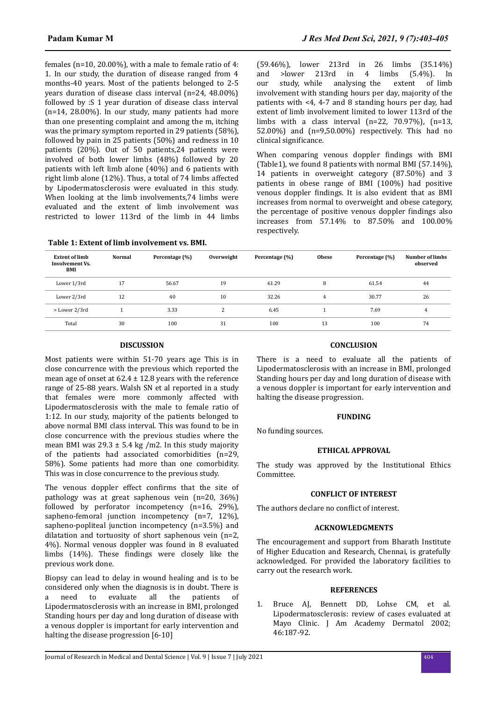females (n=10, 20.00%), with a male to female ratio of 4: 1. In our study, the duration of disease ranged from 4 months-40 years. Most of the patients belonged to 2-5 years duration of disease class interval (n=24, 48.00%) followed by :S 1 year duration of disease class interval (n=14, 28.00%). In our study, many patients had more than one presenting complaint and among the m, itching was the primary symptom reported in 29 patients (58%), followed by pain in 25 patients (50%) and redness in 10 patients (20%). Out of 50 patients,24 patients were involved of both lower limbs (48%) followed by 20 patients with left limb alone (40%) and 6 patients with right limb alone (12%). Thus, a total of 74 limbs affected by Lipodermatosclerosis were evaluated in this study. When looking at the limb involvements,74 limbs were evaluated and the extent of limb involvement was restricted to lower 113rd of the limb in 44 limbs (59.46%), lower 213rd in 26 limbs (35.14%) and >lower 213rd in 4 limbs (5.4%). In<br>our study, while analysing the extent of limb study, while analysing the involvement with standing hours per day, majority of the patients with <4, 4-7 and 8 standing hours per day, had extent of limb involvement limited to lower 113rd of the limbs with a class interval  $(n=22, 70.97%)$ ,  $(n=13,$ 52.00%) and (n=9,50.00%) respectively. This had no clinical significance.

When comparing venous doppler findings with BMI (Table1), we found 8 patients with normal BMI (57.14%), 14 patients in overweight category (87.50%) and 3 patients in obese range of BMI (100%) had positive venous doppler findings. It is also evident that as BMI increases from normal to overweight and obese category, the percentage of positive venous doppler findings also increases from 57.14% to 87.50% and 100.00% respectively.

| <b>Extent of limb</b><br><b>Involvement Vs.</b><br>BMI | <b>Normal</b> | Percentage (%) | Overweight | Percentage (%) | <b>Obese</b> | Percentage (%) | <b>Number of limbs</b><br>observed |
|--------------------------------------------------------|---------------|----------------|------------|----------------|--------------|----------------|------------------------------------|
| Lower 1/3rd                                            | 17            | 56.67          | 19         | 61.29          | 8            | 61.54          | 44                                 |
| Lower 2/3rd                                            | 12            | 40             | 10         | 32.26          | 4            | 30.77          | 26                                 |
| > Lower 2/3rd                                          |               | 3.33           | 2          | 6.45           |              | 7.69           | 4                                  |
| Total                                                  | 30            | 100            | 31         | 100            | 13           | 100            | 74                                 |

## **DISCUSSION**

**Table 1: Extent of limb involvement vs. BMI.**

Most patients were within 51-70 years age This is in close concurrence with the previous which reported the mean age of onset at  $62.4 \pm 12.8$  years with the reference range of 25-88 years. Walsh SN et al reported in a study that females were more commonly affected with Lipodermatosclerosis with the male to female ratio of 1:12. In our study, majority of the patients belonged to above normal BMI class interval. This was found to be in close concurrence with the previous studies where the mean BMI was  $29.3 \pm 5.4$  kg /m2. In this study majority of the patients had associated comorbidities (n=29, 58%). Some patients had more than one comorbidity. This was in close concurrence to the previous study.

The venous doppler effect confirms that the site of pathology was at great saphenous vein (n=20, 36%) followed by perforator incompetency (n=16, 29%), sapheno-femoral junction incompetency (n=7, 12%), sapheno-popliteal junction incompetency (n=3.5%) and dilatation and tortuosity of short saphenous vein (n=2, 4%). Normal venous doppler was found in 8 evaluated limbs  $(14%)$ . These findings were closely like the previous work done.

Biopsy can lead to delay in wound healing and is to be considered only when the diagnosis is in doubt. There is a need to evaluate all the patients of Lipodermatosclerosis with an increase in BMI, prolonged Standing hours per day and long duration of disease with a venous doppler is important for early intervention and halting the disease progression [6-10]

## **CONCLUSION**

There is a need to evaluate all the patients of Lipodermatosclerosis with an increase in BMI, prolonged Standing hours per day and long duration of disease with a venous doppler is important for early intervention and halting the disease progression.

## **FUNDING**

No funding sources.

## **ETHICAL APPROVAL**

The study was approved by the Institutional Ethics Committee.

#### **CONFLICT OF INTEREST**

The authors declare no conflict of interest.

## **ACKNOWLEDGMENTS**

The encouragement and support from Bharath Institute of Higher Education and Research, Chennai, is gratefully acknowledged. For provided the laboratory facilities to carry out the research work.

## **REFERENCES**

1. Bruce AJ, Bennett DD, Lohse CM, et al. Lipodermatosclerosis: review of cases evaluated at Mayo Clinic. J Am Academy Dermatol 2002; 46:187-92.